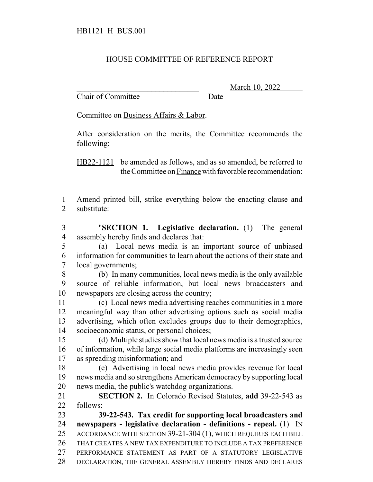## HOUSE COMMITTEE OF REFERENCE REPORT

Chair of Committee Date

March 10, 2022

Committee on Business Affairs & Labor.

After consideration on the merits, the Committee recommends the following:

HB22-1121 be amended as follows, and as so amended, be referred to the Committee on Finance with favorable recommendation:

- Amend printed bill, strike everything below the enacting clause and substitute:
- "**SECTION 1. Legislative declaration.** (1) The general assembly hereby finds and declares that:
- (a) Local news media is an important source of unbiased information for communities to learn about the actions of their state and local governments;
- (b) In many communities, local news media is the only available source of reliable information, but local news broadcasters and newspapers are closing across the country;
- (c) Local news media advertising reaches communities in a more meaningful way than other advertising options such as social media advertising, which often excludes groups due to their demographics, socioeconomic status, or personal choices;
- (d) Multiple studies show that local news media is a trusted source of information, while large social media platforms are increasingly seen as spreading misinformation; and
- (e) Advertising in local news media provides revenue for local news media and so strengthens American democracy by supporting local news media, the public's watchdog organizations.
- **SECTION 2.** In Colorado Revised Statutes, **add** 39-22-543 as follows:

 **39-22-543. Tax credit for supporting local broadcasters and newspapers - legislative declaration - definitions - repeal.** (1) IN ACCORDANCE WITH SECTION 39-21-304 (1), WHICH REQUIRES EACH BILL THAT CREATES A NEW TAX EXPENDITURE TO INCLUDE A TAX PREFERENCE PERFORMANCE STATEMENT AS PART OF A STATUTORY LEGISLATIVE DECLARATION, THE GENERAL ASSEMBLY HEREBY FINDS AND DECLARES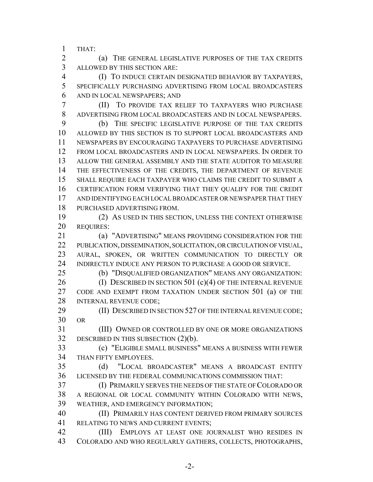THAT:

 (a) THE GENERAL LEGISLATIVE PURPOSES OF THE TAX CREDITS ALLOWED BY THIS SECTION ARE:

 (I) TO INDUCE CERTAIN DESIGNATED BEHAVIOR BY TAXPAYERS, SPECIFICALLY PURCHASING ADVERTISING FROM LOCAL BROADCASTERS AND IN LOCAL NEWSPAPERS; AND

 (II) TO PROVIDE TAX RELIEF TO TAXPAYERS WHO PURCHASE ADVERTISING FROM LOCAL BROADCASTERS AND IN LOCAL NEWSPAPERS.

 (b) THE SPECIFIC LEGISLATIVE PURPOSE OF THE TAX CREDITS ALLOWED BY THIS SECTION IS TO SUPPORT LOCAL BROADCASTERS AND NEWSPAPERS BY ENCOURAGING TAXPAYERS TO PURCHASE ADVERTISING FROM LOCAL BROADCASTERS AND IN LOCAL NEWSPAPERS. IN ORDER TO ALLOW THE GENERAL ASSEMBLY AND THE STATE AUDITOR TO MEASURE 14 THE EFFECTIVENESS OF THE CREDITS, THE DEPARTMENT OF REVENUE SHALL REQUIRE EACH TAXPAYER WHO CLAIMS THE CREDIT TO SUBMIT A CERTIFICATION FORM VERIFYING THAT THEY QUALIFY FOR THE CREDIT AND IDENTIFYING EACH LOCAL BROADCASTER OR NEWSPAPER THAT THEY PURCHASED ADVERTISING FROM.

 (2) AS USED IN THIS SECTION, UNLESS THE CONTEXT OTHERWISE REQUIRES:

 (a) "ADVERTISING" MEANS PROVIDING CONSIDERATION FOR THE PUBLICATION, DISSEMINATION, SOLICITATION, OR CIRCULATION OF VISUAL, AURAL, SPOKEN, OR WRITTEN COMMUNICATION TO DIRECTLY OR INDIRECTLY INDUCE ANY PERSON TO PURCHASE A GOOD OR SERVICE.

(b) "DISQUALIFIED ORGANIZATION" MEANS ANY ORGANIZATION:

26 (I) DESCRIBED IN SECTION 501 (c)(4) OF THE INTERNAL REVENUE CODE AND EXEMPT FROM TAXATION UNDER SECTION 501 (a) OF THE 28 INTERNAL REVENUE CODE;

**(II) DESCRIBED IN SECTION 527 OF THE INTERNAL REVENUE CODE;** OR

 (III) OWNED OR CONTROLLED BY ONE OR MORE ORGANIZATIONS DESCRIBED IN THIS SUBSECTION (2)(b).

 (c) "ELIGIBLE SMALL BUSINESS" MEANS A BUSINESS WITH FEWER THAN FIFTY EMPLOYEES.

 (d) "LOCAL BROADCASTER" MEANS A BROADCAST ENTITY LICENSED BY THE FEDERAL COMMUNICATIONS COMMISSION THAT:

 (I) PRIMARILY SERVES THE NEEDS OF THE STATE OF COLORADO OR A REGIONAL OR LOCAL COMMUNITY WITHIN COLORADO WITH NEWS, WEATHER, AND EMERGENCY INFORMATION;

 (II) PRIMARILY HAS CONTENT DERIVED FROM PRIMARY SOURCES RELATING TO NEWS AND CURRENT EVENTS;

 (III) EMPLOYS AT LEAST ONE JOURNALIST WHO RESIDES IN COLORADO AND WHO REGULARLY GATHERS, COLLECTS, PHOTOGRAPHS,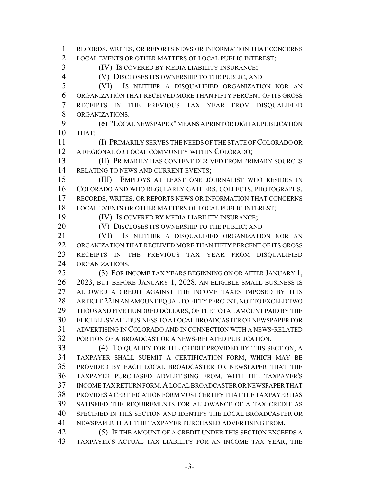RECORDS, WRITES, OR REPORTS NEWS OR INFORMATION THAT CONCERNS LOCAL EVENTS OR OTHER MATTERS OF LOCAL PUBLIC INTEREST; (IV) IS COVERED BY MEDIA LIABILITY INSURANCE; (V) DISCLOSES ITS OWNERSHIP TO THE PUBLIC; AND (VI) IS NEITHER A DISQUALIFIED ORGANIZATION NOR AN ORGANIZATION THAT RECEIVED MORE THAN FIFTY PERCENT OF ITS GROSS RECEIPTS IN THE PREVIOUS TAX YEAR FROM DISQUALIFIED ORGANIZATIONS. (e) "LOCAL NEWSPAPER" MEANS A PRINT OR DIGITAL PUBLICATION THAT: (I) PRIMARILY SERVES THE NEEDS OF THE STATE OF COLORADO OR A REGIONAL OR LOCAL COMMUNITY WITHIN COLORADO; (II) PRIMARILY HAS CONTENT DERIVED FROM PRIMARY SOURCES 14 RELATING TO NEWS AND CURRENT EVENTS; (III) EMPLOYS AT LEAST ONE JOURNALIST WHO RESIDES IN COLORADO AND WHO REGULARLY GATHERS, COLLECTS, PHOTOGRAPHS, RECORDS, WRITES, OR REPORTS NEWS OR INFORMATION THAT CONCERNS LOCAL EVENTS OR OTHER MATTERS OF LOCAL PUBLIC INTEREST; (IV) IS COVERED BY MEDIA LIABILITY INSURANCE; 20 (V) DISCLOSES ITS OWNERSHIP TO THE PUBLIC; AND (VI) IS NEITHER A DISQUALIFIED ORGANIZATION NOR AN ORGANIZATION THAT RECEIVED MORE THAN FIFTY PERCENT OF ITS GROSS RECEIPTS IN THE PREVIOUS TAX YEAR FROM DISQUALIFIED ORGANIZATIONS. (3) FOR INCOME TAX YEARS BEGINNING ON OR AFTER JANUARY 1, 2023, BUT BEFORE JANUARY 1, 2028, AN ELIGIBLE SMALL BUSINESS IS ALLOWED A CREDIT AGAINST THE INCOME TAXES IMPOSED BY THIS ARTICLE 22 IN AN AMOUNT EQUAL TO FIFTY PERCENT, NOT TO EXCEED TWO THOUSAND FIVE HUNDRED DOLLARS, OF THE TOTAL AMOUNT PAID BY THE ELIGIBLE SMALL BUSINESS TO A LOCAL BROADCASTER OR NEWSPAPER FOR ADVERTISING IN COLORADO AND IN CONNECTION WITH A NEWS-RELATED PORTION OF A BROADCAST OR A NEWS-RELATED PUBLICATION. (4) TO QUALIFY FOR THE CREDIT PROVIDED BY THIS SECTION, A TAXPAYER SHALL SUBMIT A CERTIFICATION FORM, WHICH MAY BE PROVIDED BY EACH LOCAL BROADCASTER OR NEWSPAPER THAT THE TAXPAYER PURCHASED ADVERTISING FROM, WITH THE TAXPAYER'S INCOME TAX RETURN FORM.A LOCAL BROADCASTER OR NEWSPAPER THAT PROVIDES A CERTIFICATION FORM MUST CERTIFY THAT THE TAXPAYER HAS SATISFIED THE REQUIREMENTS FOR ALLOWANCE OF A TAX CREDIT AS SPECIFIED IN THIS SECTION AND IDENTIFY THE LOCAL BROADCASTER OR NEWSPAPER THAT THE TAXPAYER PURCHASED ADVERTISING FROM. 42 (5) IF THE AMOUNT OF A CREDIT UNDER THIS SECTION EXCEEDS A TAXPAYER'S ACTUAL TAX LIABILITY FOR AN INCOME TAX YEAR, THE